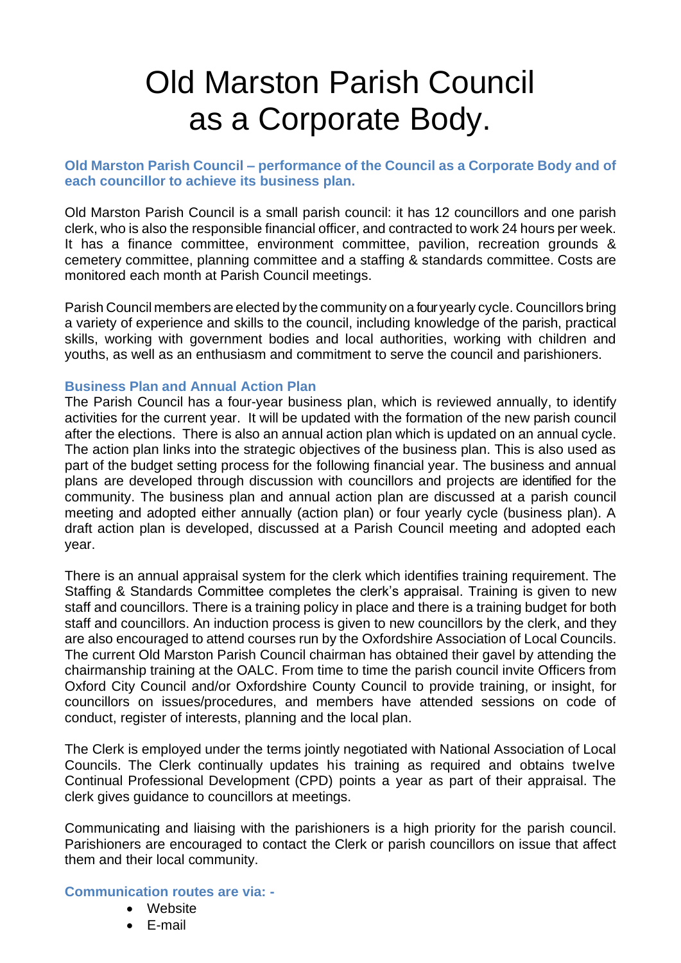## Old Marston Parish Council as a Corporate Body.

## **Old Marston Parish Council – performance of the Council as a Corporate Body and of each councillor to achieve its business plan.**

Old Marston Parish Council is a small parish council: it has 12 councillors and one parish clerk, who is also the responsible financial officer, and contracted to work 24 hours per week. It has a finance committee, environment committee, pavilion, recreation grounds & cemetery committee, planning committee and a staffing & standards committee. Costs are monitored each month at Parish Council meetings.

Parish Council members are elected by the community on a four yearly cycle. Councillors bring a variety of experience and skills to the council, including knowledge of the parish, practical skills, working with government bodies and local authorities, working with children and youths, as well as an enthusiasm and commitment to serve the council and parishioners.

## **Business Plan and Annual Action Plan**

The Parish Council has a four-year business plan, which is reviewed annually, to identify activities for the current year. It will be updated with the formation of the new parish council after the elections. There is also an annual action plan which is updated on an annual cycle. The action plan links into the strategic objectives of the business plan. This is also used as part of the budget setting process for the following financial year. The business and annual plans are developed through discussion with councillors and projects are identified for the community. The business plan and annual action plan are discussed at a parish council meeting and adopted either annually (action plan) or four yearly cycle (business plan). A draft action plan is developed, discussed at a Parish Council meeting and adopted each year.

There is an annual appraisal system for the clerk which identifies training requirement. The Staffing & Standards Committee completes the clerk's appraisal. Training is given to new staff and councillors. There is a training policy in place and there is a training budget for both staff and councillors. An induction process is given to new councillors by the clerk, and they are also encouraged to attend courses run by the Oxfordshire Association of Local Councils. The current Old Marston Parish Council chairman has obtained their gavel by attending the chairmanship training at the OALC. From time to time the parish council invite Officers from Oxford City Council and/or Oxfordshire County Council to provide training, or insight, for councillors on issues/procedures, and members have attended sessions on code of conduct, register of interests, planning and the local plan.

The Clerk is employed under the terms jointly negotiated with National Association of Local Councils. The Clerk continually updates his training as required and obtains twelve Continual Professional Development (CPD) points a year as part of their appraisal. The clerk gives guidance to councillors at meetings.

Communicating and liaising with the parishioners is a high priority for the parish council. Parishioners are encouraged to contact the Clerk or parish councillors on issue that affect them and their local community.

## **Communication routes are via: -**

- Website
- E-mail